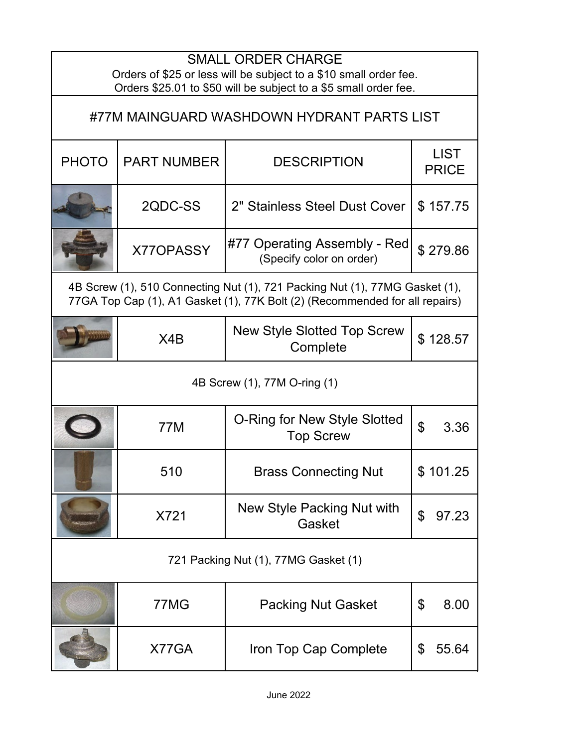| <b>SMALL ORDER CHARGE</b><br>Orders of \$25 or less will be subject to a \$10 small order fee.<br>Orders \$25.01 to \$50 will be subject to a \$5 small order fee. |                    |                                                          |                             |  |  |
|--------------------------------------------------------------------------------------------------------------------------------------------------------------------|--------------------|----------------------------------------------------------|-----------------------------|--|--|
| #77M MAINGUARD WASHDOWN HYDRANT PARTS LIST                                                                                                                         |                    |                                                          |                             |  |  |
| <b>PHOTO</b>                                                                                                                                                       | <b>PART NUMBER</b> | <b>DESCRIPTION</b>                                       | <b>LIST</b><br><b>PRICE</b> |  |  |
|                                                                                                                                                                    | 2QDC-SS            | 2" Stainless Steel Dust Cover                            | \$157.75                    |  |  |
|                                                                                                                                                                    | X770PASSY          | #77 Operating Assembly - Red<br>(Specify color on order) | \$279.86                    |  |  |
| 4B Screw (1), 510 Connecting Nut (1), 721 Packing Nut (1), 77MG Gasket (1),<br>77GA Top Cap (1), A1 Gasket (1), 77K Bolt (2) (Recommended for all repairs)         |                    |                                                          |                             |  |  |
|                                                                                                                                                                    | X4B                | <b>New Style Slotted Top Screw</b><br>Complete           | \$128.57                    |  |  |
| 4B Screw (1), 77M O-ring (1)                                                                                                                                       |                    |                                                          |                             |  |  |
|                                                                                                                                                                    | 77M                | O-Ring for New Style Slotted<br><b>Top Screw</b>         | $\mathbf{\hat{z}}$<br>3.36  |  |  |
|                                                                                                                                                                    | 510                | <b>Brass Connecting Nut</b>                              | \$101.25                    |  |  |
|                                                                                                                                                                    | X721               | New Style Packing Nut with<br>Gasket                     | 97.23<br>\$                 |  |  |
| 721 Packing Nut (1), 77MG Gasket (1)                                                                                                                               |                    |                                                          |                             |  |  |
|                                                                                                                                                                    | 77MG               | <b>Packing Nut Gasket</b>                                | \$<br>8.00                  |  |  |
|                                                                                                                                                                    | X77GA              | Iron Top Cap Complete                                    | 55.64<br>\$                 |  |  |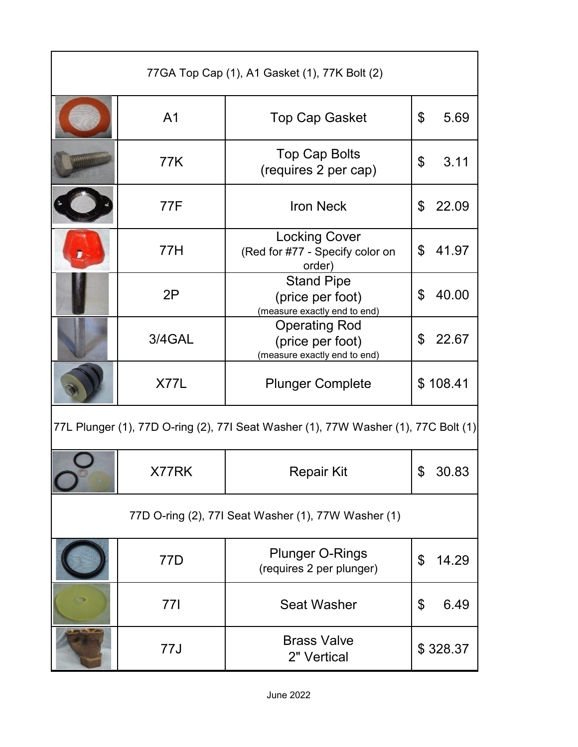| 77GA Top Cap (1), A1 Gasket (1), 77K Bolt (2)                                      |                |                                                                          |             |  |  |
|------------------------------------------------------------------------------------|----------------|--------------------------------------------------------------------------|-------------|--|--|
|                                                                                    | A <sub>1</sub> | <b>Top Cap Gasket</b>                                                    | \$<br>5.69  |  |  |
|                                                                                    | 77K            | <b>Top Cap Bolts</b><br>(requires 2 per cap)                             | \$<br>3.11  |  |  |
|                                                                                    | 77F            | <b>Iron Neck</b>                                                         | \$<br>22.09 |  |  |
|                                                                                    | 77H            | <b>Locking Cover</b><br>(Red for #77 - Specify color on<br>order)        | 41.97<br>\$ |  |  |
|                                                                                    | 2P             | <b>Stand Pipe</b><br>(price per foot)<br>(measure exactly end to end)    | 40.00<br>\$ |  |  |
|                                                                                    | 3/4GAL         | <b>Operating Rod</b><br>(price per foot)<br>(measure exactly end to end) | 22.67<br>\$ |  |  |
|                                                                                    | X77L           | <b>Plunger Complete</b>                                                  | \$108.41    |  |  |
| 77L Plunger (1), 77D O-ring (2), 77I Seat Washer (1), 77W Washer (1), 77C Bolt (1) |                |                                                                          |             |  |  |
|                                                                                    | X77RK          | Repair Kit                                                               | \$<br>30.83 |  |  |
| 77D O-ring (2), 77I Seat Washer (1), 77W Washer (1)                                |                |                                                                          |             |  |  |
|                                                                                    | 77D            | <b>Plunger O-Rings</b><br>(requires 2 per plunger)                       | 14.29<br>\$ |  |  |
|                                                                                    | <b>771</b>     | <b>Seat Washer</b>                                                       | 6.49<br>\$  |  |  |
|                                                                                    | 77J            | <b>Brass Valve</b><br>2" Vertical                                        | \$328.37    |  |  |